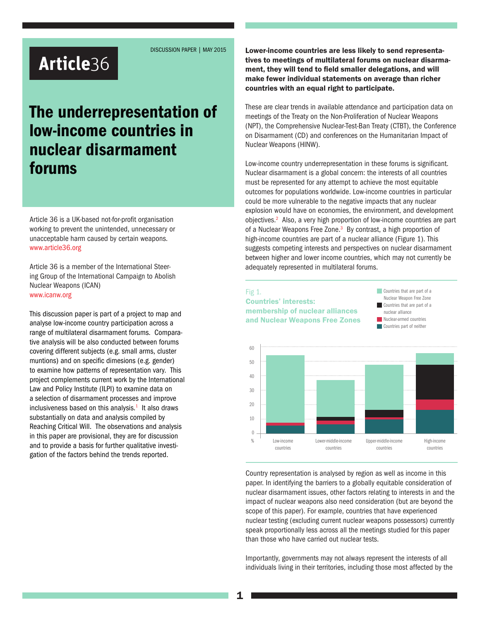DISCUSSION PAPER | MAY 2015

# Article36

# The underrepresentation of low-income countries in nuclear disarmament forums

Article 36 is a UK-based not-for-profit organisation working to prevent the unintended, unnecessary or unacceptable harm caused by certain weapons. www.article36.org

Article 36 is a member of the International Steering Group of the International Campaign to Abolish Nuclear Weapons (ICAN) www.icanw.org

This discussion paper is part of a project to map and analyse low-income country participation across a range of multilateral disarmament forums. Comparative analysis will be also conducted between forums covering different subjects (e.g. small arms, cluster muntions) and on specific dimesions (e.g. gender) to examine how patterns of representation vary. This project complements current work by the International Law and Policy Institute (ILPI) to examine data on a selection of disarmament processes and improve inclusiveness based on this analysis. $1$  It also draws substantially on data and analysis compiled by Reaching Critical Will. The observations and analysis in this paper are provisional, they are for discussion and to provide a basis for further qualitative investigation of the factors behind the trends reported.

Lower-income countries are less likely to send representatives to meetings of multilateral forums on nuclear disarmament, they will tend to field smaller delegations, and will make fewer individual statements on average than richer countries with an equal right to participate.

These are clear trends in available attendance and participation data on meetings of the Treaty on the Non-Proliferation of Nuclear Weapons (NPT), the Comprehensive Nuclear-Test-Ban Treaty (CTBT), the Conference on Disarmament (CD) and conferences on the Humanitarian Impact of Nuclear Weapons (HINW).

Low-income country underrepresentation in these forums is significant. Nuclear disarmament is a global concern: the interests of all countries must be represented for any attempt to achieve the most equitable outcomes for populations worldwide. Low-income countries in particular could be more vulnerable to the negative impacts that any nuclear explosion would have on economies, the environment, and development objectives.<sup>2</sup> Also, a very high proportion of low-income countries are part of a Nuclear Weapons Free Zone.<sup>3</sup> By contrast, a high proportion of high-income countries are part of a nuclear alliance (Figure 1). This suggests competing interests and perspectives on nuclear disarmament between higher and lower income countries, which may not currently be adequately represented in multilateral forums.

#### Fig 1.

## Countries' interests: membership of nuclear alliances and Nuclear Weapons Free Zones

**Countries that are part of a** Nuclear Weapon Free Zone Countries that are part of a nuclear alliance Nuclear-armed countries **Countries part of neither** 



Country representation is analysed by region as well as income in this paper. In identifying the barriers to a globally equitable consideration of nuclear disarmament issues, other factors relating to interests in and the impact of nuclear weapons also need consideration (but are beyond the scope of this paper). For example, countries that have experienced nuclear testing (excluding current nuclear weapons possessors) currently speak proportionally less across all the meetings studied for this paper than those who have carried out nuclear tests.

Importantly, governments may not always represent the interests of all individuals living in their territories, including those most affected by the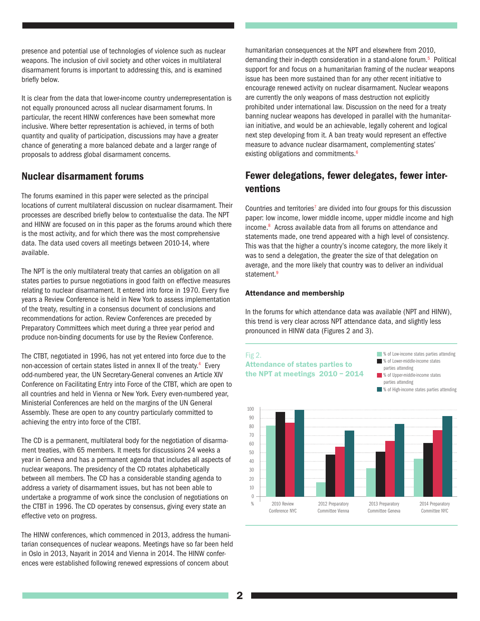presence and potential use of technologies of violence such as nuclear weapons. The inclusion of civil society and other voices in multilateral disarmament forums is important to addressing this, and is examined briefly below.

It is clear from the data that lower-income country underrepresentation is not equally pronounced across all nuclear disarmament forums. In particular, the recent HINW conferences have been somewhat more inclusive. Where better representation is achieved, in terms of both quantity and quality of participation, discussions may have a greater chance of generating a more balanced debate and a larger range of proposals to address global disarmament concerns.

## Nuclear disarmament forums

The forums examined in this paper were selected as the principal locations of current multilateral discussion on nuclear disarmament. Their processes are described briefly below to contextualise the data. The NPT and HINW are focused on in this paper as the forums around which there is the most activity, and for which there was the most comprehensive data. The data used covers all meetings between 2010-14, where available.

The NPT is the only multilateral treaty that carries an obligation on all states parties to pursue negotiations in good faith on effective measures relating to nuclear disarmament. It entered into force in 1970. Every five years a Review Conference is held in New York to assess implementation of the treaty, resulting in a consensus document of conclusions and recommendations for action. Review Conferences are preceded by Preparatory Committees which meet during a three year period and produce non-binding documents for use by the Review Conference.

The CTBT, negotiated in 1996, has not yet entered into force due to the non-accession of certain states listed in annex II of the treaty.<sup>4</sup> Every odd-numbered year, the UN Secretary-General convenes an Article XIV Conference on Facilitating Entry into Force of the CTBT, which are open to all countries and held in Vienna or New York. Every even-numbered year, Ministerial Conferences are held on the margins of the UN General Assembly. These are open to any country particularly committed to achieving the entry into force of the CTBT.

The CD is a permanent, multilateral body for the negotiation of disarmament treaties, with 65 members. It meets for discussions 24 weeks a year in Geneva and has a permanent agenda that includes all aspects of nuclear weapons. The presidency of the CD rotates alphabetically between all members. The CD has a considerable standing agenda to address a variety of disarmament issues, but has not been able to undertake a programme of work since the conclusion of negotiations on the CTBT in 1996. The CD operates by consensus, giving every state an effective veto on progress.

The HINW conferences, which commenced in 2013, address the humanitarian consequences of nuclear weapons. Meetings have so far been held in Oslo in 2013, Nayarit in 2014 and Vienna in 2014. The HINW conferences were established following renewed expressions of concern about

humanitarian consequences at the NPT and elsewhere from 2010, demanding their in-depth consideration in a stand-alone forum.<sup>5</sup> Political support for and focus on a humanitarian framing of the nuclear weapons issue has been more sustained than for any other recent initiative to encourage renewed activity on nuclear disarmament. Nuclear weapons are currently the only weapons of mass destruction not explicitly prohibited under international law. Discussion on the need for a treaty banning nuclear weapons has developed in parallel with the humanitarian initiative, and would be an achievable, legally coherent and logical next step developing from it. A ban treaty would represent an effective measure to advance nuclear disarmament, complementing states' existing obligations and commitments.<sup>6</sup>

# Fewer delegations, fewer delegates, fewer interventions

Countries and territories<sup>7</sup> are divided into four groups for this discussion paper: low income, lower middle income, upper middle income and high income.<sup>8</sup> Across available data from all forums on attendance and statements made, one trend appeared with a high level of consistency. This was that the higher a country's income category, the more likely it was to send a delegation, the greater the size of that delegation on average, and the more likely that country was to deliver an individual statement.<sup>9</sup>

#### Attendance and membership

In the forums for which attendance data was available (NPT and HINW), this trend is very clear across NPT attendance data, and slightly less pronounced in HINW data (Figures 2 and 3).

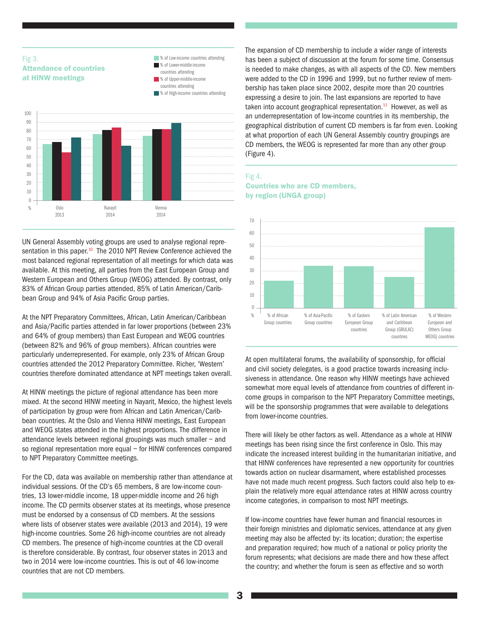### Fig 3. Attendance of countries at HINW meetings



UN General Assembly voting groups are used to analyse regional representation in this paper.<sup>10</sup> The 2010 NPT Review Conference achieved the most balanced regional representation of all meetings for which data was available. At this meeting, all parties from the East European Group and Western European and Others Group (WEOG) attended. By contrast, only 83% of African Group parties attended, 85% of Latin American/Caribbean Group and 94% of Asia Pacific Group parties.

At the NPT Preparatory Committees, African, Latin American/Caribbean and Asia/Pacific parties attended in far lower proportions (between 23% and 64% of group members) than East European and WEOG countries (between 82% and 96% of group members). African countries were particularly underrepresented. For example, only 23% of African Group countries attended the 2012 Preparatory Committee. Richer, 'Western' countries therefore dominated attendance at NPT meetings taken overall.

At HINW meetings the picture of regional attendance has been more mixed. At the second HINW meeting in Nayarit, Mexico, the highest levels of participation by group were from African and Latin American/Caribbean countries. At the Oslo and Vienna HINW meetings, East European and WEOG states attended in the highest proportions. The difference in attendance levels between regional groupings was much smaller – and so regional representation more equal – for HINW conferences compared to NPT Preparatory Committee meetings.

For the CD, data was available on membership rather than attendance at individual sessions. Of the CD's 65 members, 8 are low-income countries, 13 lower-middle income, 18 upper-middle income and 26 high income. The CD permits observer states at its meetings, whose presence must be endorsed by a consensus of CD members. At the sessions where lists of observer states were available (2013 and 2014), 19 were high-income countries. Some 26 high-income countries are not already CD members. The presence of high-income countries at the CD overall is therefore considerable. By contrast, four observer states in 2013 and two in 2014 were low-income countries. This is out of 46 low-income countries that are not CD members.

The expansion of CD membership to include a wider range of interests has been a subject of discussion at the forum for some time. Consensus is needed to make changes, as with all aspects of the CD. New members were added to the CD in 1996 and 1999, but no further review of membership has taken place since 2002, despite more than 20 countries expressing a desire to join. The last expansions are reported to have taken into account geographical representation. $11$  However, as well as an underrepresentation of low-income countries in its membership, the geographical distribution of current CD members is far from even. Looking at what proportion of each UN General Assembly country groupings are CD members, the WEOG is represented far more than any other group (Figure 4).

#### Fig 4. Countries who are CD members, by region (UNGA group)



At open multilateral forums, the availability of sponsorship, for official and civil society delegates, is a good practice towards increasing inclusiveness in attendance. One reason why HINW meetings have achieved somewhat more equal levels of attendance from countries of different income groups in comparison to the NPT Preparatory Committee meetings, will be the sponsorship programmes that were available to delegations from lower-income countries.

There will likely be other factors as well. Attendance as a whole at HINW meetings has been rising since the first conference in Oslo. This may indicate the increased interest building in the humanitarian initiative, and that HINW conferences have represented a new opportunity for countries towards action on nuclear disarmament, where established processes have not made much recent progress. Such factors could also help to explain the relatively more equal attendance rates at HINW across country income categories, in comparison to most NPT meetings.

If low-income countries have fewer human and financial resources in their foreign ministries and diplomatic services, attendance at any given meeting may also be affected by: its location; duration; the expertise and preparation required; how much of a national or policy priority the forum represents; what decisions are made there and how these affect the country; and whether the forum is seen as effective and so worth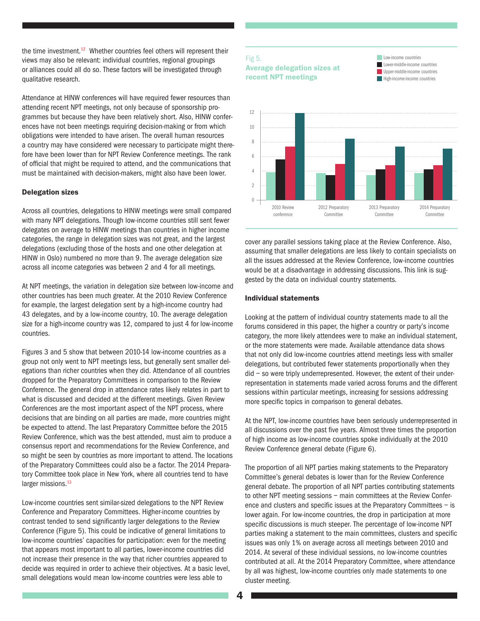the time investment.<sup>12</sup> Whether countries feel others will represent their views may also be relevant: individual countries, regional groupings or alliances could all do so. These factors will be investigated through qualitative research.

Attendance at HINW conferences will have required fewer resources than attending recent NPT meetings, not only because of sponsorship programmes but because they have been relatively short. Also, HINW conferences have not been meetings requiring decision-making or from which obligations were intended to have arisen. The overall human resources a country may have considered were necessary to participate might therefore have been lower than for NPT Review Conference meetings. The rank of official that might be required to attend, and the communications that must be maintained with decision-makers, might also have been lower.

#### Delegation sizes

Across all countries, delegations to HINW meetings were small compared with many NPT delegations. Though low-income countries still sent fewer delegates on average to HINW meetings than countries in higher income categories, the range in delegation sizes was not great, and the largest delegations (excluding those of the hosts and one other delegation at HINW in Oslo) numbered no more than 9. The average delegation size across all income categories was between 2 and 4 for all meetings.

At NPT meetings, the variation in delegation size between low-income and other countries has been much greater. At the 2010 Review Conference for example, the largest delegation sent by a high-income country had 43 delegates, and by a low-income country, 10. The average delegation size for a high-income country was 12, compared to just 4 for low-income countries.

Figures 3 and 5 show that between 2010-14 low-income countries as a group not only went to NPT meetings less, but generally sent smaller delegations than richer countries when they did. Attendance of all countries dropped for the Preparatory Committees in comparison to the Review Conference. The general drop in attendance rates likely relates in part to what is discussed and decided at the different meetings. Given Review Conferences are the most important aspect of the NPT process, where decisions that are binding on all parties are made, more countries might be expected to attend. The last Preparatory Committee before the 2015 Review Conference, which was the best attended, must aim to produce a consensus report and recommendations for the Review Conference, and so might be seen by countries as more important to attend. The locations of the Preparatory Committees could also be a factor. The 2014 Preparatory Committee took place in New York, where all countries tend to have larger missions.<sup>13</sup>

Low-income countries sent similar-sized delegations to the NPT Review Conference and Preparatory Committees. Higher-income countries by contrast tended to send significantly larger delegations to the Review Conference (Figure 5). This could be indicative of general limitations to low-income countries' capacities for participation: even for the meeting that appears most important to all parties, lower-income countries did not increase their presence in the way that richer countries appeared to decide was required in order to achieve their objectives. At a basic level, small delegations would mean low-income countries were less able to

## Fig 5. Average delegation sizes at recent NPT meetings





cover any parallel sessions taking place at the Review Conference. Also, assuming that smaller delegations are less likely to contain specialists on all the issues addressed at the Review Conference, low-income countries would be at a disadvantage in addressing discussions. This link is suggested by the data on individual country statements.

#### Individual statements

Looking at the pattern of individual country statements made to all the forums considered in this paper, the higher a country or party's income category, the more likely attendees were to make an individual statement, or the more statements were made. Available attendance data shows that not only did low-income countries attend meetings less with smaller delegations, but contributed fewer statements proportionally when they did – so were triply underrepresented. However, the extent of their underrepresentation in statements made varied across forums and the different sessions within particular meetings, increasing for sessions addressing more specific topics in comparison to general debates.

At the NPT, low-income countries have been seriously underrepresented in all discussions over the past five years. Almost three times the proportion of high income as low-income countries spoke individually at the 2010 Review Conference general debate (Figure 6).

The proportion of all NPT parties making statements to the Preparatory Committee's general debates is lower than for the Review Conference general debate. The proportion of all NPT parties contributing statements to other NPT meeting sessions – main committees at the Review Conference and clusters and specific issues at the Preparatory Committees – is lower again. For low-income countries, the drop in participation at more specific discussions is much steeper. The percentage of low-income NPT parties making a statement to the main committees, clusters and specific issues was only 1% on average across all meetings between 2010 and 2014. At several of these individual sessions, no low-income countries contributed at all. At the 2014 Preparatory Committee, where attendance by all was highest, low-income countries only made statements to one cluster meeting.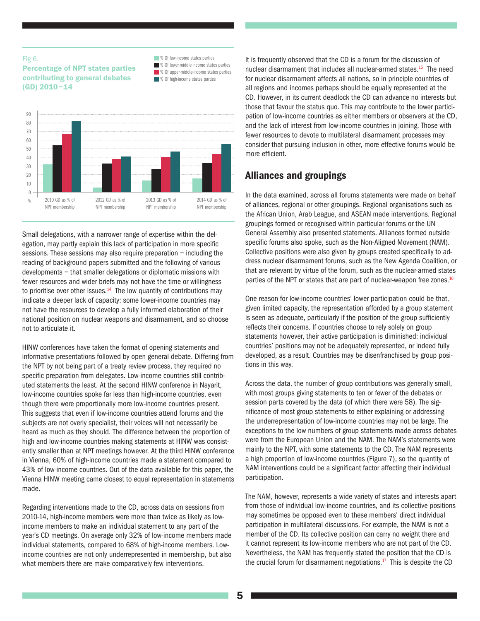#### Fig 6.

#### Percentage of NPT states parties contributing to general debates (GD) 2010–14





Small delegations, with a narrower range of expertise within the delegation, may partly explain this lack of participation in more specific sessions. These sessions may also require preparation – including the reading of background papers submitted and the following of various developments – that smaller delegations or diplomatic missions with fewer resources and wider briefs may not have the time or willingness to prioritise over other issues. $14$  The low quantity of contributions may indicate a deeper lack of capacity: some lower-income countries may not have the resources to develop a fully informed elaboration of their national position on nuclear weapons and disarmament, and so choose not to articulate it.

HINW conferences have taken the format of opening statements and informative presentations followed by open general debate. Differing from the NPT by not being part of a treaty review process, they required no specific preparation from delegates. Low-income countries still contributed statements the least. At the second HINW conference in Nayarit, low-income countries spoke far less than high-income countries, even though there were proportionally more low-income countries present. This suggests that even if low-income countries attend forums and the subjects are not overly specialist, their voices will not necessarily be heard as much as they should. The difference between the proportion of high and low-income countries making statements at HINW was consistently smaller than at NPT meetings however. At the third HINW conference in Vienna, 60% of high-income countries made a statement compared to 43% of low-income countries. Out of the data available for this paper, the Vienna HINW meeting came closest to equal representation in statements made.

Regarding interventions made to the CD, across data on sessions from 2010-14, high-income members were more than twice as likely as lowincome members to make an individual statement to any part of the year's CD meetings. On average only 32% of low-income members made individual statements, compared to 68% of high-income members. Lowincome countries are not only underrepresented in membership, but also what members there are make comparatively few interventions.

It is frequently observed that the CD is a forum for the discussion of nuclear disarmament that includes all nuclear-armed states.15 The need for nuclear disarmament affects all nations, so in principle countries of all regions and incomes perhaps should be equally represented at the CD. However, in its current deadlock the CD can advance no interests but those that favour the status quo. This may contribute to the lower participation of low-income countries as either members or observers at the CD, and the lack of interest from low-income countries in joining. Those with fewer resources to devote to multilateral disarmament processes may consider that pursuing inclusion in other, more effective forums would be more efficient.

# Alliances and groupings

In the data examined, across all forums statements were made on behalf of alliances, regional or other groupings. Regional organisations such as the African Union, Arab League, and ASEAN made interventions. Regional groupings formed or recognised within particular forums or the UN General Assembly also presented statements. Alliances formed outside specific forums also spoke, such as the Non-Aligned Movement (NAM). Collective positions were also given by groups created specifically to address nuclear disarmament forums, such as the New Agenda Coalition, or that are relevant by virtue of the forum, such as the nuclear-armed states parties of the NPT or states that are part of nuclear-weapon free zones.<sup>16</sup>

One reason for low-income countries' lower participation could be that, given limited capacity, the representation afforded by a group statement is seen as adequate, particularly if the position of the group sufficiently reflects their concerns. If countries choose to rely solely on group statements however, their active participation is diminished: individual countries' positions may not be adequately represented, or indeed fully developed, as a result. Countries may be disenfranchised by group positions in this way.

Across the data, the number of group contributions was generally small, with most groups giving statements to ten or fewer of the debates or session parts covered by the data (of which there were 58). The significance of most group statements to either explaining or addressing the underrepresentation of low-income countries may not be large. The exceptions to the low numbers of group statements made across debates were from the European Union and the NAM. The NAM's statements were mainly to the NPT, with some statements to the CD. The NAM represents a high proportion of low-income countries (Figure 7), so the quantity of NAM interventions could be a significant factor affecting their individual participation.

The NAM, however, represents a wide variety of states and interests apart from those of individual low-income countries, and its collective positions may sometimes be opposed even to these members' direct individual participation in multilateral discussions. For example, the NAM is not a member of the CD. Its collective position can carry no weight there and it cannot represent its low-income members who are not part of the CD. Nevertheless, the NAM has frequently stated the position that the CD is the crucial forum for disarmament negotiations. $17$  This is despite the CD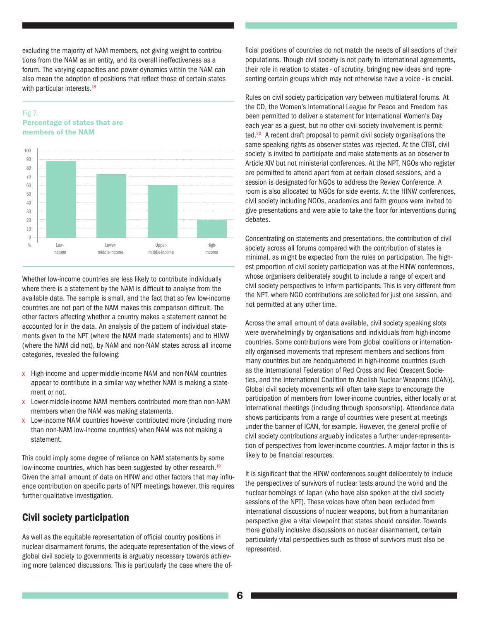excluding the majority of NAM members, not giving weight to contributions from the NAM as an entity, and its overall ineffectiveness as a forum. The varying capacities and power dynamics within the NAM can also mean the adoption of positions that reflect those of certain states with particular interests.<sup>18</sup>

### Fig 7. Percentage of states that are members of the NAM



Whether low-income countries are less likely to contribute individually where there is a statement by the NAM is difficult to analyse from the available data. The sample is small, and the fact that so few low-income countries are not part of the NAM makes this comparison difficult. The other factors affecting whether a country makes a statement cannot be accounted for in the data. An analysis of the pattern of individual statements given to the NPT (where the NAM made statements) and to HINW (where the NAM did not), by NAM and non-NAM states across all income categories, revealed the following:

- x High-income and upper-middle-income NAM and non-NAM countries appear to contribute in a similar way whether NAM is making a statement or not.
- x Lower-middle-income NAM members contributed more than non-NAM members when the NAM was making statements.
- x Low-income NAM countries however contributed more (including more than non-NAM low-income countries) when NAM was not making a statement.

This could imply some degree of reliance on NAM statements by some low-income countries, which has been suggested by other research.<sup>19</sup> Given the small amount of data on HINW and other factors that may influence contribution on specific parts of NPT meetings however, this requires further qualitative investigation.

## Civil society participation

As well as the equitable representation of official country positions in nuclear disarmament forums, the adequate representation of the views of global civil society to governments is arguably necessary towards achieving more balanced discussions. This is particularly the case where the official positions of countries do not match the needs of all sections of their populations. Though civil society is not party to international agreements, their role in relation to states - of scrutiny, bringing new ideas and representing certain groups which may not otherwise have a voice - is crucial.

Rules on civil society participation vary between multilateral forums. At the CD, the Women's International League for Peace and Freedom has been permitted to deliver a statement for International Women's Day each year as a guest, but no other civil society involvement is permitted.<sup>20</sup> A recent draft proposal to permit civil society organisations the same speaking rights as observer states was rejected. At the CTBT, civil society is invited to participate and make statements as an observer to Article XIV but not ministerial conferences. At the NPT, NGOs who register are permitted to attend apart from at certain closed sessions, and a session is designated for NGOs to address the Review Conference. A room is also allocated to NGOs for side events. At the HINW conferences, civil society including NGOs, academics and faith groups were invited to give presentations and were able to take the floor for interventions during debates.

Concentrating on statements and presentations, the contribution of civil society across all forums compared with the contribution of states is minimal, as might be expected from the rules on participation. The highest proportion of civil society participation was at the HINW conferences, whose organisers deliberately sought to include a range of expert and civil society perspectives to inform participants. This is very different from the NPT, where NGO contributions are solicited for just one session, and not permitted at any other time.

Across the small amount of data available, civil society speaking slots were overwhelmingly by organisations and individuals from high-income countries. Some contributions were from global coalitions or internationally organised movements that represent members and sections from many countries but are headquartered in high-income countries (such as the International Federation of Red Cross and Red Crescent Societies, and the International Coalition to Abolish Nuclear Weapons (ICAN)). Global civil society movements will often take steps to encourage the participation of members from lower-income countries, either locally or at international meetings (including through sponsorship). Attendance data shows participants from a range of countries were present at meetings under the banner of ICAN, for example. However, the general profile of civil society contributions arguably indicates a further under-representation of perspectives from lower-income countries. A major factor in this is likely to be financial resources.

It is significant that the HINW conferences sought deliberately to include the perspectives of survivors of nuclear tests around the world and the nuclear bombings of Japan (who have also spoken at the civil society sessions of the NPT). These voices have often been excluded from international discussions of nuclear weapons, but from a humanitarian perspective give a vital viewpoint that states should consider. Towards more globally inclusive discussions on nuclear disarmament, certain particularly vital perspectives such as those of survivors must also be represented.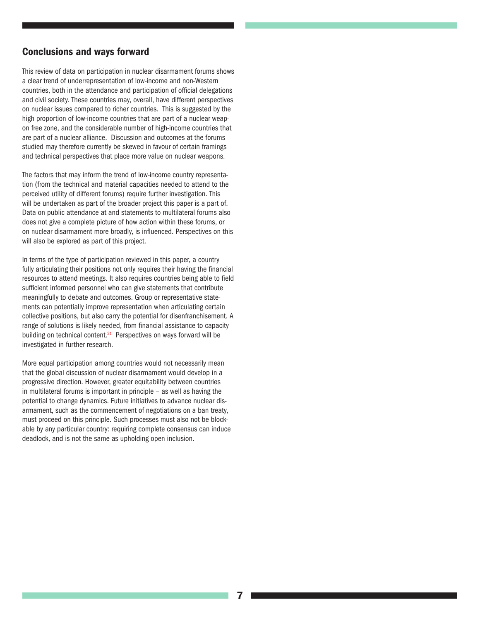## Conclusions and ways forward

This review of data on participation in nuclear disarmament forums shows a clear trend of underrepresentation of low-income and non-Western countries, both in the attendance and participation of official delegations and civil society. These countries may, overall, have different perspectives on nuclear issues compared to richer countries. This is suggested by the high proportion of low-income countries that are part of a nuclear weapon free zone, and the considerable number of high-income countries that are part of a nuclear alliance. Discussion and outcomes at the forums studied may therefore currently be skewed in favour of certain framings and technical perspectives that place more value on nuclear weapons.

The factors that may inform the trend of low-income country representation (from the technical and material capacities needed to attend to the perceived utility of different forums) require further investigation. This will be undertaken as part of the broader project this paper is a part of. Data on public attendance at and statements to multilateral forums also does not give a complete picture of how action within these forums, or on nuclear disarmament more broadly, is influenced. Perspectives on this will also be explored as part of this project.

In terms of the type of participation reviewed in this paper, a country fully articulating their positions not only requires their having the financial resources to attend meetings. It also requires countries being able to field sufficient informed personnel who can give statements that contribute meaningfully to debate and outcomes. Group or representative statements can potentially improve representation when articulating certain collective positions, but also carry the potential for disenfranchisement. A range of solutions is likely needed, from financial assistance to capacity building on technical content. $21$  Perspectives on ways forward will be investigated in further research.

More equal participation among countries would not necessarily mean that the global discussion of nuclear disarmament would develop in a progressive direction. However, greater equitability between countries in multilateral forums is important in principle  $-$  as well as having the potential to change dynamics. Future initiatives to advance nuclear disarmament, such as the commencement of negotiations on a ban treaty, must proceed on this principle. Such processes must also not be blockable by any particular country: requiring complete consensus can induce deadlock, and is not the same as upholding open inclusion.